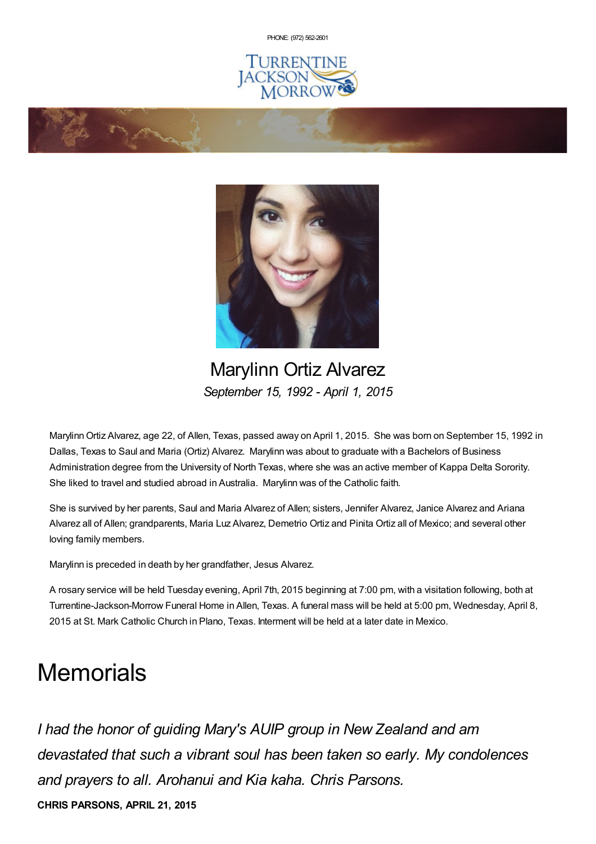PHONE: (972) [562-2601](tel:(972) 562-2601)







Marylinn Ortiz Alvarez *September 15, 1992 - April 1, 2015*

MarylinnOrtiz Alvarez, age 22, of Allen, Texas, passed away on April 1, 2015. She was born on September 15, 1992 in Dallas, Texas to Saul and Maria (Ortiz) Alvarez. Marylinn was about to graduate with a Bachelors of Business Administration degree from the University of North Texas, where she was an active member of Kappa Delta Sorority. She liked to travel and studied abroad in Australia. Marylinn was of the Catholic faith.

She is survived by her parents, Saul and Maria Alvarez of Allen; sisters, Jennifer Alvarez, Janice Alvarez and Ariana Alvarez all of Allen; grandparents, Maria Luz Alvarez, Demetrio Ortiz and Pinita Ortiz all of Mexico; and several other loving family members.

Marylinn is preceded in death by her grandfather, Jesus Alvarez.

A rosary service will be held Tuesday evening, April 7th, 2015 beginning at 7:00 pm, with a visitation following, both at Turrentine-Jackson-Morrow Funeral Home in Allen, Texas. A funeral mass will be held at 5:00 pm, Wednesday, April 8, 2015 at St. Mark Catholic Church in Plano, Texas. Interment will be held at a later date in Mexico.

## **Memorials**

*I had the honor of guiding Mary's AUIP group in New Zealand and am devastated that such a vibrant soul has been taken so early. My condolences and prayers to all. Arohanui and Kia kaha. Chris Parsons.*

**CHRIS PARSONS, APRIL 21, 2015**